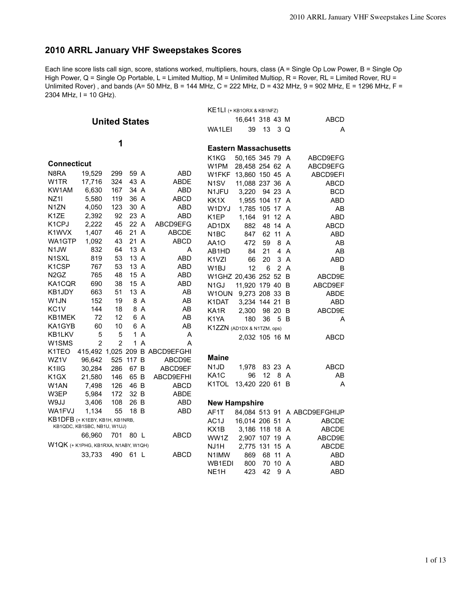# **2010 ARRL January VHF Sweepstakes Scores**

Each line score lists call sign, score, stations worked, multipliers, hours, class (A = Single Op Low Power, B = Single Op High Power, Q = Single Op Portable, L = Limited Multiop, M = Unlimited Multiop, R = Rover, RL = Limited Rover, RU = Unlimited Rover), and bands (A= 50 MHz, B = 144 MHz, C = 222 MHz, D = 432 MHz, 9 = 902 MHz, E = 1296 MHz, F = 2304 MHz, I = 10 GHz).

|                                       |                             |                      |           |                |                                | KE1LI (+ KB1ORX & KB1NFZ)      |                 |    |                |     |                              |
|---------------------------------------|-----------------------------|----------------------|-----------|----------------|--------------------------------|--------------------------------|-----------------|----|----------------|-----|------------------------------|
|                                       |                             | <b>United States</b> |           |                |                                |                                | 16,641 318 43 M |    |                |     | ABCD                         |
|                                       |                             |                      |           |                |                                | WA1LEI                         | 39              | 13 |                | 3 Q | A                            |
|                                       |                             |                      |           |                |                                |                                |                 |    |                |     |                              |
|                                       |                             | 1                    |           |                |                                | <b>Eastern Massachusetts</b>   |                 |    |                |     |                              |
|                                       |                             |                      |           |                |                                | K <sub>1</sub> K <sub>G</sub>  | 50,165 345 79 A |    |                |     | ABCD9EFG                     |
| Connecticut                           |                             |                      |           |                |                                | W1PM                           | 28,458 254 62 A |    |                |     | ABCD9EFG                     |
| N8RA                                  | 19,529                      | 299                  | 59 A      |                | ABD                            | W1FKF 13,860 150 45 A          |                 |    |                |     | ABCD9EFI                     |
| W1TR                                  | 17,716                      | 324                  | 43 A      |                | ABDE                           | N <sub>1</sub> SV              | 11,088 237 36 A |    |                |     | ABCD                         |
| KW1AM                                 | 6,630                       | 167                  | 34 A      |                | ABD                            | N1JFU                          | 3,220           |    | 94 23 A        |     | <b>BCD</b>                   |
| NZ1I                                  | 5,580                       | 119                  | 36 A      |                | <b>ABCD</b>                    | KK1X                           | 1,955 104 17 A  |    |                |     | <b>ABD</b>                   |
| N1ZN                                  | 4,050                       | 123                  | 30 A      |                | <b>ABD</b>                     | W1DYJ                          | 1,785 105 17 A  |    |                |     | AB                           |
| K1ZE                                  | 2,392                       | 92                   | 23 A      |                | ABD                            | K1EP                           | 1,164           |    | 91 12 A        |     | <b>ABD</b>                   |
| K1CPJ                                 | 2,222                       | 45                   | 22 A      |                | ABCD9EFG                       | AD1DX                          | 882             |    | 48 14 A        |     | <b>ABCD</b>                  |
| K1WVX                                 | 1,407                       | 46                   | 21 A      |                | ABCDE                          | N <sub>1</sub> BC              | 847             |    | 62 11          | A   | <b>ABD</b>                   |
| WA1GTP                                | 1,092                       | 43                   | 21 A      |                | ABCD                           | AA1O                           | 472             | 59 |                | 8 A | AB                           |
| N1JW                                  | 832                         | 64                   | 13 A      |                | A                              | AB1HD                          | 84              | 21 |                | 4 A | AB                           |
| N1SXL                                 | 819                         | 53                   | 13 A      |                | <b>ABD</b>                     | K <sub>1</sub> V <sub>ZI</sub> | 66              | 20 |                | 3A  | ABD                          |
| K1CSP                                 | 767                         | 53                   | 13 A      |                | ABD                            | W1BJ                           | 12              | 6  | $\overline{2}$ | A   | B                            |
| N2GZ                                  | 765                         | 48                   | 15 A      |                | ABD                            | W1GHZ 20,436 252 52 B          |                 |    |                |     | ABCD9E                       |
| KA1CQR                                | 690                         | 38                   | 15 A      |                | ABD                            | N <sub>1</sub> GJ              | 11,920 179 40 B |    |                |     | ABCD9EF                      |
| KB1JDY                                | 663                         | 51                   | 13 A      |                | AB                             | W1OUN                          | 9,273 208 33 B  |    |                |     | ABDE                         |
| W1JN                                  | 152                         | 19                   |           | 8 A            | AB                             | K1DAT                          | 3,234 144 21    |    |                | - B | ABD                          |
| KC1V                                  | 144                         | 18                   |           | 8 A            | AB                             | KA1R                           | 2,300           |    | 98 20 B        |     | ABCD9E                       |
| KB1MEK                                | 72                          | 12                   |           | 6 A            | AB                             | K <sub>1</sub> YA              | 180             | 36 |                | 5 B | A                            |
| KA1GYB                                | 60                          | 10                   |           | 6 A            | AB                             | K1ZZN (AD1DX & N1TZM, ops)     |                 |    |                |     |                              |
| KB1LKV                                | 5                           | 5                    |           | 1 A            | A                              |                                | 2,032 105 16 M  |    |                |     | <b>ABCD</b>                  |
| W1SMS                                 | 2                           | $\overline{2}$       | 1         | $\overline{A}$ | A                              |                                |                 |    |                |     |                              |
| K1TEO                                 |                             |                      |           |                | 415,492 1,025 209 B ABCD9EFGHI |                                |                 |    |                |     |                              |
| WZ1V                                  | 96,642                      |                      | 525 117 B |                | ABCD9E                         | Maine                          |                 |    |                |     |                              |
| K1IIG                                 | 30,284                      | 286                  | 67 B      |                | ABCD9EF                        | N <sub>1</sub> J <sub>D</sub>  | 1,978           |    | 83 23 A        |     | <b>ABCD</b>                  |
| K1GX                                  | 21,580                      | 146                  | 65 B      |                | ABCD9EFHI                      | KA1C                           | 96              | 12 |                | 8 A | AB                           |
| W1AN                                  | 7,498                       | 126                  | 46 B      |                | <b>ABCD</b>                    | K1TOL                          | 13,420 220 61 B |    |                |     | Α                            |
| W3EP                                  | 5,984                       | 172                  | 32 B      |                | ABDE                           |                                |                 |    |                |     |                              |
| W9JJ                                  | 3,406                       | 108                  | 26 B      |                | <b>ABD</b>                     | <b>New Hampshire</b>           |                 |    |                |     |                              |
| WA1FVJ                                | 1,134                       | 55                   | 18 B      |                | ABD                            | AF1T                           |                 |    |                |     | 84,084 513 91 A ABCD9EFGHIJP |
| KB1DFB (+ K1EBY, KB1H, KB1NRB,        |                             |                      |           |                |                                | AC <sub>1</sub> J              | 16,014 206 51   |    |                | A   | ABCDE                        |
|                                       | KB1QDC, KB1SBC, NB1U, W1UJ) |                      |           |                |                                | KX1B                           | 3,186 118 18 A  |    |                |     | <b>ABCDE</b>                 |
|                                       | 66,960                      | 701                  | 80 L      |                | ABCD                           | WW1Z                           | 2,907 107 19 A  |    |                |     | ABCD9E                       |
| $W1QK$ (+ K1PHG, KB1RXA, N1ABY, W1QH) |                             |                      |           |                |                                | NJ1H                           | 2,775 131 15 A  |    |                |     | <b>ABCDE</b>                 |
|                                       | 33,733                      | 490                  | 61 L      |                | ABCD                           | N <sub>1</sub> IM <sub>W</sub> | 869             |    | 68 11          | A   | ABD                          |
|                                       |                             |                      |           |                |                                | WB1EDI                         | 800             |    | 70 10 A        |     | <b>ABD</b>                   |
|                                       |                             |                      |           |                |                                | NE <sub>1</sub> H              | 423             |    | 42 9 A         |     | <b>ABD</b>                   |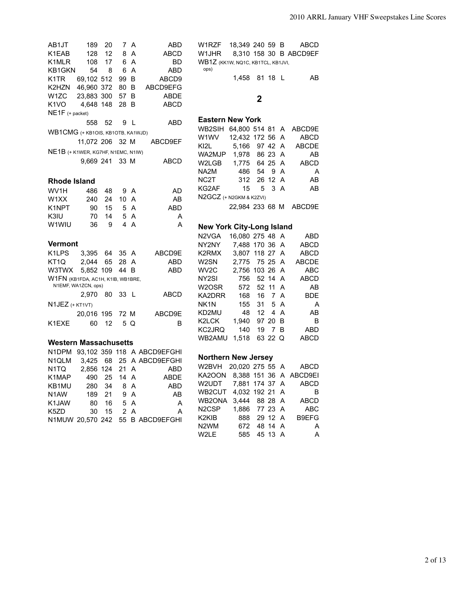AB1JT 189 20 7 A ABD K1EAB 128 12 8 A ABCD K1MLR 108 17 6 A BD KB1GKN 54 8 6 A ABD K1TR 69,102 512 99 B ABCD9 K2HZN 46,960 372 80 B ABCD9EFG W1ZC 23,883 300 57 B ABDE K1VO 4,648 148 28 B ABCD NE1F (+ packet) 558 52 9 L ABD WB1CMG (+ KB1OIS, KB1OTB, KA1WJD) 11,072 206 32 M ABCD9EF NE1B (+ K1WER, KG7HF, N1EMC, N1IW) 9,669 241 33 M ABCD **Rhode Island** WV1H 486 48 9 A AD W1XX 240 24 10 A AB K1NPT 90 15 5 A ABD K3IU 70 14 5 A A W1WIU 36 9 4 A A **Vermont** K1LPS 3,395 64 35 A ABCD9E KT1Q 2,044 65 28 A ABD W3TWX 5,852 109 44 B ABD W1FN (KB1FDA, AC1H, K1IB, WB1BRE, N1EMF, WA1ZCN, ops) 2,970 80 33 L ABCD N1JEZ (+ KT1VT) 20,016 195 72 M ABCD9E K1EXE 60 12 5 Q B

#### **Western Massachusetts**

| N1DPM               |             |       |    | 93,102 359 118 A ABCD9EFGHI      |
|---------------------|-------------|-------|----|----------------------------------|
| N <sub>1</sub> QLM  |             |       |    | 3,425 68 25 A ABCD9EFGHI         |
| N1TQ 2,856 124 21 A |             |       |    | ABD                              |
| K1MAP               | 490 25 14 A |       |    | <b>ABDE</b>                      |
| KB1MU               | 280 34 8 A  |       |    | ABD                              |
| N1AW 189 21 9 A     |             |       |    | <b>Example 2</b>                 |
| K1JAW               | 80 16 5 A   |       |    | <b>A</b>                         |
| K5ZD                |             | 30 15 | 2A | A                                |
|                     |             |       |    | N1MUW 20,570 242 55 B ABCD9EFGHI |
|                     |             |       |    |                                  |

W1RZF 18,349 240 59 B ABCD W1JHR 8,310 158 30 B ABCD9EF WB1Z (KK1W, NQ1C, KB1TCL, KB1JVI, ops) 1,458 81 18 L AB **2**

### **Eastern New York**

| WB2SIH                  | 64,800 514 81 A |                              |        | ABCD9E                 |
|-------------------------|-----------------|------------------------------|--------|------------------------|
| W1WV .                  | 12,432 172 56 A |                              |        | <b>ABCD</b>            |
| KI2I                    | 5.166 97 42 A   |                              |        | <b>ABCDE</b>           |
| WA2MJP                  | 1.978 86 23 A   |                              |        | AB                     |
| W2LGB                   | 1,775 64 25 A   |                              |        | <b>ABCD</b>            |
| NA2M                    | - 486           |                              | 54 9 A | A                      |
| NC2T                    | 312 26 12 A     |                              |        | AB                     |
| KG2AF                   |                 | $15 \quad 5 \quad 3 \quad A$ |        | AB                     |
| N2GCZ (+ N2GKM & K2ZVI) |                 |                              |        |                        |
|                         |                 |                              |        | 22,984 233 68 M ABCD9E |
|                         |                 |                              |        |                        |
| .                       |                 |                              |        |                        |

#### **New York City-Long Island**

| N2VGA             | 16,080 275 48 A |    |                |     | ABD          |
|-------------------|-----------------|----|----------------|-----|--------------|
| NY2NY             | 7.488 170 36 A  |    |                |     | <b>ABCD</b>  |
| K2RMX             | 3,807 118 27 A  |    |                |     | <b>ABCD</b>  |
| W2SN              | 2.775 75 25 A   |    |                |     | <b>ABCDE</b> |
| WV2C              | 2,756 103 26 A  |    |                |     | <b>ABC</b>   |
| NY <sub>2SI</sub> | 756             |    | 52 14 A        |     | <b>ABCD</b>  |
| W2OSR             | 572             |    | 52 11 A        |     | AB           |
| KA2DRR            | 168             |    | 16 7 A         |     | BDE          |
| NK1N              | - 155           |    | 31 5 A         |     | A            |
| KD2MU             | -48             | 12 |                | 4 A | AB           |
| K2LCK             | 1.940           |    | 97 20          | B   | в            |
| KC2JRQ            | 140             | 19 | $\overline{7}$ | в   | ABD          |
| WB2AMU            | 1.518           |    | 63 22 Q        |     | ABCD         |

#### **Northern New Jersey**

| W2BVH                          | 20,020 275 55 A |         | ABCD                   |
|--------------------------------|-----------------|---------|------------------------|
| KA2OON                         |                 |         | 8,388 151 36 A ABCD9EI |
| W2UDT                          | 7.881 174 37 A  |         | <b>ABCD</b>            |
| WB2CUT                         | 4,032 192 21 A  |         | в                      |
| WB2ONA                         | 3.444 88 28 A   |         | <b>ABCD</b>            |
| N <sub>2</sub> C <sub>SP</sub> | 1.886 77 23 A   |         | <b>ABC</b>             |
| K2KIB L                        | 888             | 29 12 A | B9EFG                  |
| N <sub>2</sub> WM              | 672             | 48 14 A | A                      |
| W2LE                           | 585             | 45 13 A | A                      |
|                                |                 |         |                        |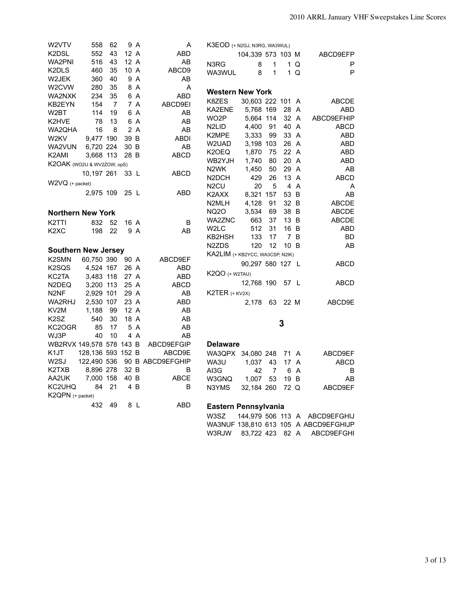| W2VTV                          | 558               | 62             |      | 9 A | A                | K3EOD (+ N2GJ, N3RG, WA3WUL)    |                   |                |              |      |              |
|--------------------------------|-------------------|----------------|------|-----|------------------|---------------------------------|-------------------|----------------|--------------|------|--------------|
| K2DSL                          | 552               | 43             | 12 A |     | <b>ABD</b>       |                                 | 104,339 573 103 M |                |              |      | ABCD9EFP     |
| WA2PNI                         | 516               | 43             | 12A  |     | AB               | N3RG                            | 8                 | 1              | $\mathbf{1}$ | Q    | P            |
| K2DLS                          | 460               | 35             | 10 A |     | ABCD9            | WA3WUL                          | 8                 | 1              |              | 1Q   | P            |
| W2JEK                          | 360               | 40             |      | 9 A | AB               |                                 |                   |                |              |      |              |
| W2CVW                          | 280               | 35             |      | 8 A | A                | <b>Western New York</b>         |                   |                |              |      |              |
| WA2NXK                         | 234               | 35             |      | 6 A | ABD              |                                 |                   |                |              |      |              |
| KB2EYN                         | 154               | $\overline{7}$ |      | 7 A | ABCD9EI          | K8ZES                           | 30,603 222 101 A  |                |              |      | <b>ABCDE</b> |
| W2BT                           | 114               | 19             |      | 6 A | AB               | KA2ENE                          | 5,768 169         |                | 28 A         |      | ABD          |
| K2HVE                          | 78                | 13             |      | 6 A | AB               | WO2P                            | 5,664 114         |                | 32 A         |      | ABCD9EFHIP   |
| WA2QHA                         | 16                | 8              |      | 2 A | AB               | N <sub>2LID</sub>               | 4,400             | 91             | 40 A         |      | <b>ABCD</b>  |
| W <sub>2</sub> KV              | 9,477 190         |                | 39 B |     | ABDI             | K2MPE                           | 3,333             | 99             |              | 33 A | ABD          |
| WA2VUN                         | 6,720 224         |                | 30 B |     | AB               | W2UAD                           | 3,198 103         |                |              | 26 A | ABD          |
| K <sub>2</sub> AMI             | 3,668 113         |                | 28 B |     | <b>ABCD</b>      | K2OEQ                           | 1,870             | 75             | 22 A         |      | ABD          |
| K2OAK (WO2U & WV2ZOW, opS)     |                   |                |      |     |                  | WB2YJH                          | 1,740             | 80             | 20 A         |      | ABD          |
|                                | 10,197 261        |                | 33 L |     | ABCD             | N2WK                            | 1,450             | 50             | 29 A         |      | AB           |
| W2VQ (+ packet)                |                   |                |      |     |                  | N2DCH                           | 429               | 26             | 13 A         |      | <b>ABCD</b>  |
|                                | 2,975 109         |                | 25 L |     | <b>ABD</b>       | N <sub>2</sub> CU               | 20                | 5              |              | 4 A  | Α            |
|                                |                   |                |      |     |                  | K2AXX                           | 8,321 157         |                | 53 B         |      | AB           |
|                                |                   |                |      |     |                  | N2MLH                           | 4,128             | 91             | 32 B         |      | <b>ABCDE</b> |
| <b>Northern New York</b>       |                   |                |      |     |                  | <b>NQ2O</b>                     | 3,534             | 69             | 38 B         |      | <b>ABCDE</b> |
| K <sub>2</sub> TTI             | 832               | - 52           | 16 A |     | B                | WA2ZNC                          | 663               | 37             | 13 B         |      | <b>ABCDE</b> |
| K <sub>2</sub> X <sub>C</sub>  | 198               | -22            |      | 9 A | AB               | W2LC                            | 512               | 31             | 16 B         |      | ABD          |
|                                |                   |                |      |     |                  | KB2HSH                          | 133               | 17             |              | 7 B  | BD           |
| <b>Southern New Jersey</b>     |                   |                |      |     |                  | N <sub>2</sub> ZDS              | 120               | 12             | 10 B         |      | AB           |
| K <sub>2</sub> SM <sub>N</sub> | 60,750 390        |                | 90 A |     | ABCD9EF          | KA2LIM (+ KB2YCC, WA3CSP, N2IK) |                   |                |              |      |              |
| K <sub>2</sub> SQ <sub>S</sub> | 4,524 167         |                | 26 A |     | ABD              |                                 | 90,297 580 127 L  |                |              |      | ABCD         |
| KC2TA                          | 3,483 118         |                | 27 A |     | <b>ABD</b>       | $K2QO$ $(+$ W2TAU)              |                   |                |              |      |              |
| N <sub>2</sub> DEQ             | 3,200 113         |                | 25 A |     | ABCD             |                                 | 12,768 190        |                | 57 L         |      | ABCD         |
| N <sub>2NF</sub>               | 2,929 101         |                | 29 A |     | AB               | K2TER (+ KV2X)                  |                   |                |              |      |              |
| WA2RHJ                         | 2,530 107         |                | 23 A |     | ABD              |                                 | 2,178             | 63             | 22 M         |      | ABCD9E       |
| KV <sub>2</sub> M              | 1,188             | 99             | 12A  |     | AB               |                                 |                   |                |              |      |              |
| K <sub>2</sub> S <sub>Z</sub>  | 540               | 30             | 18 A |     | AB               |                                 |                   |                |              |      |              |
| KC2OGR                         | 85                | 17             |      | 5 A | AB               |                                 |                   |                | 3            |      |              |
| WJ3P                           | 40                | 10             |      | 4 A | AB               |                                 |                   |                |              |      |              |
| WB2RVX 149,578 578 143 B       |                   |                |      |     | ABCD9EFGIP       | <b>Delaware</b>                 |                   |                |              |      |              |
| K <sub>1</sub> JT              | 128,136 593 152 B |                |      |     | ABCD9E           | WA3QPX 34,080 248               |                   |                | 71 A         |      | ABCD9EF      |
| W <sub>2</sub> SJ              | 122,490 536       |                |      |     | 90 B ABCD9EFGHIP | WA3U                            | 1,037             | 43             |              | 17 A | <b>ABCD</b>  |
| K2TXB                          | 8,896 278         |                | 32 B |     | B                | AI3G                            | 42                | $\overline{7}$ |              | 6 A  | B            |
| AA2UK                          | 7,000 158         |                | 40 B |     | ABCE             | W3GNQ                           | 1,007             | 53             | 19 B         |      | AB           |
| KC2UHQ                         | 84                | 21             |      | 4 B | B                | N3YMS                           | 32,184 260        |                | 72 Q         |      | ABCD9EF      |
| K2QPN (+ packet)               |                   |                |      |     |                  |                                 |                   |                |              |      |              |
|                                | 432               | 49             |      | 8 L | ABD              | Eastern Pennsylvania            |                   |                |              |      |              |
|                                |                   |                |      |     |                  |                                 |                   |                |              |      |              |

W3SZ 144,979 506 113 A ABCD9EFGHIJ WA3NUF 138,810 613 105 A ABCD9EFGHIJP W3RJW 83,722 423 82 A ABCD9EFGHI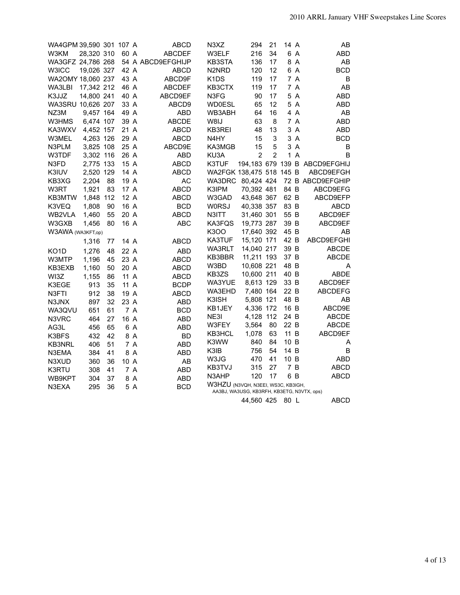| WA4GPM 39,590 301 107 A |            |     |      |     | <b>ABCD</b>       | N3XZ                               | 294                                        | 21             | 14 A         |                | AB                            |
|-------------------------|------------|-----|------|-----|-------------------|------------------------------------|--------------------------------------------|----------------|--------------|----------------|-------------------------------|
| W3KM                    | 28,320 310 |     | 60 A |     | <b>ABCDEF</b>     | W3ELF                              | 216                                        | 34             |              | 6 A            | <b>ABD</b>                    |
| WA3GFZ 24,786 268       |            |     |      |     | 54 A ABCD9EFGHIJP | <b>KB3STA</b>                      | 136                                        | 17             |              | 8 A            | AB                            |
| W3ICC                   | 19,026 327 |     | 42 A |     | <b>ABCD</b>       | N2NRD                              | 120                                        | 12             |              | 6 A            | <b>BCD</b>                    |
| WA2OMY 18,060 237       |            |     | 43 A |     | ABCD9F            | K <sub>1</sub> D <sub>S</sub>      | 119                                        | 17             |              | 7 A            | B                             |
| WA3LBI                  | 17,342 212 |     | 46 A |     | <b>ABCDEF</b>     | KB3CTX                             | 119                                        | 17             |              | 7 A            | AB                            |
| K3JJZ                   | 14,800 241 |     | 40 A |     | ABCD9EF           | N3FG                               | 90                                         | 17             |              | 5 A            | <b>ABD</b>                    |
| WA3SRU 10,626 207       |            |     | 33 A |     | ABCD9             | <b>WD0ESL</b>                      | 65                                         | 12             |              | 5 A            | ABD                           |
| NZ3M                    | 9,457 164  |     | 49 A |     | <b>ABD</b>        | WB3ABH                             | 64                                         | 16             |              | 4 A            | AB                            |
| W3HMS                   | 6,474 107  |     | 39 A |     | <b>ABCDE</b>      | W8IJ                               | 63                                         | 8              |              | 7 A            | <b>ABD</b>                    |
| KA3WXV                  | 4,452 157  |     | 21 A |     | <b>ABCD</b>       | KB3REI                             | 48                                         | 13             |              | 3 A            | ABD                           |
| W3MEL                   | 4,263 126  |     | 29 A |     | <b>ABCD</b>       | N4HY                               | 15                                         | 3              |              | 3 A            | <b>BCD</b>                    |
| N3PLM                   | 3,825 108  |     | 25 A |     | ABCD9E            | KA3MGB                             | 15                                         | 5              |              | 3 A            | B                             |
| W3TDF                   | 3,302 116  |     | 26 A |     | ABD               | KU3A                               | $\overline{2}$                             | $\overline{2}$ | $\mathbf{1}$ | $\overline{A}$ | B                             |
| N3FD                    | 2,775 133  |     | 15 A |     | <b>ABCD</b>       | K3TUF                              |                                            |                |              |                | 194,183 679 139 B ABCD9EFGHIJ |
| K3IUV                   | 2,520 129  |     | 14 A |     | <b>ABCD</b>       | WA2FGK 138,475 518 145 B           |                                            |                |              |                | ABCD9EFGH                     |
| KB3XG                   | 2,204      | 88  | 19 A |     | <b>AC</b>         | WA3DRC                             | 80,424 424                                 |                |              |                | 72 B ABCD9EFGHIP              |
| W3RT                    | 1,921      | 83  | 17 A |     | <b>ABCD</b>       | K3IPM                              | 70,392 481                                 |                | 84 B         |                | ABCD9EFG                      |
| KB3MTW                  | 1,848      | 112 | 12 A |     | <b>ABCD</b>       | W3GAD                              | 43,648 367                                 |                | 62 B         |                | ABCD9EFP                      |
| K3VEQ                   | 1,808      | 90  | 16 A |     | <b>BCD</b>        | <b>W0RSJ</b>                       | 40,338 357                                 |                | 83 B         |                | <b>ABCD</b>                   |
| WB2VLA                  | 1,460      | 55  | 20 A |     | <b>ABCD</b>       | N3ITT                              | 31,460 301                                 |                | 55 B         |                | ABCD9EF                       |
| W3GXB                   | 1,456      | 80  | 16 A |     | <b>ABC</b>        | KA3FQS                             | 19,773 287                                 |                | 39 B         |                | ABCD9EF                       |
| W3AWA (WA3KFT,op)       |            |     |      |     |                   | K3OO                               | 17,640 392                                 |                | 45 B         |                | AB                            |
|                         | 1,316      | 77  | 14 A |     | <b>ABCD</b>       | KA3TUF                             | 15,120 171                                 |                | 42 B         |                | ABCD9EFGHI                    |
| KO <sub>1</sub> D       | 1,276      | 48  | 22 A |     | <b>ABD</b>        | WA3RLT                             | 14,040 217                                 |                | 39 B         |                | <b>ABCDE</b>                  |
| W3MTP                   | 1,196      | 45  | 23 A |     | <b>ABCD</b>       | KB3BBR                             | 11,211 193                                 |                | 37 B         |                | <b>ABCDE</b>                  |
| KB3EXB                  | 1,160      | 50  | 20 A |     | <b>ABCD</b>       | W3BD                               | 10,608 221                                 |                | 48 B         |                | A                             |
| WI3Z                    | 1,155      | 86  | 11 A |     | <b>ABCD</b>       | KB3ZS                              | 10,600 211                                 |                | 40 B         |                | <b>ABDE</b>                   |
| K3EGE                   | 913        | 35  | 11 A |     | <b>BCDP</b>       | WA3YUE                             | 8,613 129                                  |                | 33 B         |                | ABCD9EF                       |
| N3FTI                   | 912        | 38  | 19 A |     | <b>ABCD</b>       | WA3EHD                             | 7,480 164                                  |                | 22 B         |                | <b>ABCDEFG</b>                |
| N3JNX                   | 897        | 32  | 23 A |     | <b>ABD</b>        | K3ISH                              | 5,808 121                                  |                | 48 B         |                | AB                            |
| WA3QVU                  | 651        | 61  |      | 7 A | <b>BCD</b>        | KB1JEY                             | 4,336 172                                  |                | 16 B         |                | ABCD9E                        |
| N3VRC                   | 464        | 27  | 16 A |     | ABD               | NE3I                               | 4,128 112                                  |                | 24 B         |                | <b>ABCDE</b>                  |
| AG3L                    | 456        | 65  |      | 6 A | ABD               | W3FEY                              | 3,564                                      | 80             | 22 B         |                | <b>ABCDE</b>                  |
| K3BFS                   | 432        | 42  |      | 8 A | <b>BD</b>         | KB3HCL                             | 1,078                                      | 63             | 11 B         |                | ABCD9EF                       |
| <b>KB3NRL</b>           | 406        | 51  |      | 7 A | <b>ABD</b>        | K3WW                               | 840                                        | 84             | 10 B         |                | A                             |
| N3EMA                   | 384        | 41  |      | 8 A | <b>ABD</b>        | K3IB                               | 756                                        | 54             | 14 B         |                | B                             |
| N3XUD                   | 360        | 36  | 10 A |     | AB                | W3JG                               | 470                                        | 41             | 10 B         |                | <b>ABD</b>                    |
| K3RTU                   | 308        | 41  |      | 7 A | <b>ABD</b>        | KB3TVJ                             | 315                                        | 27             |              | 7 B            | <b>ABCD</b>                   |
| WB9KPT                  | 304        | 37  |      | 8 A | ABD               | N3AHP                              | 120                                        | 17             | 6            | $\overline{B}$ | <b>ABCD</b>                   |
| N3EXA                   | 295        | 36  |      | 5 A | <b>BCD</b>        | W3HZU (N3VQH, N3EEI, WS3C, KB3IGH, |                                            |                |              |                |                               |
|                         |            |     |      |     |                   |                                    | AA3BJ, WA3USG, KB3RFH, KB3ETG, N3VTX, ops) |                |              |                |                               |

44,560 425 80 L ABCD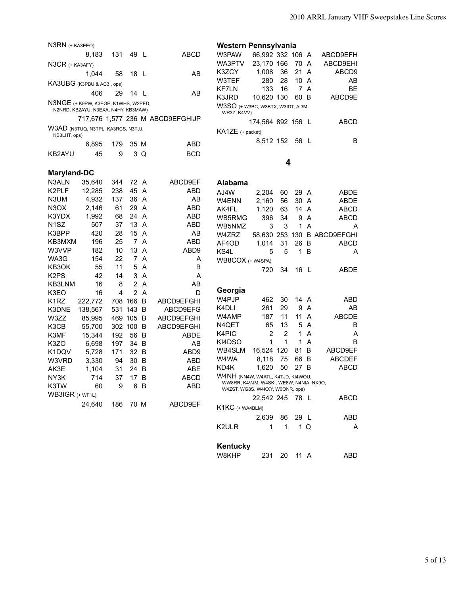| N3RN (+ KA3EEO)                                    |                                                                            |     |                |     |                                  | Western Pennsylvania                                                         |                   |                |              |                         |                             |
|----------------------------------------------------|----------------------------------------------------------------------------|-----|----------------|-----|----------------------------------|------------------------------------------------------------------------------|-------------------|----------------|--------------|-------------------------|-----------------------------|
|                                                    | 8,183                                                                      | 131 | 49 L           |     | <b>ABCD</b>                      | W3PAW                                                                        | 66,992 332 106 A  |                |              |                         | ABCD9EFH                    |
| $N3CR$ (+ KA3AFY)                                  |                                                                            |     |                |     |                                  | WA3PTV                                                                       | 23,170 166        |                | 70           | A                       | ABCD9EHI                    |
|                                                    | 1,044                                                                      | 58  | 18 L           |     | AB                               | K3ZCY                                                                        | 1,008             | 36             | 21 A         |                         | ABCD9                       |
|                                                    | KA3UBG (K3PBU & AC3I, ops)                                                 |     |                |     |                                  | W3TEF                                                                        | 280               | 28             | 10 A         |                         | AB                          |
|                                                    |                                                                            |     |                |     |                                  | <b>KF7LN</b>                                                                 | 133               | 16             |              | 7 A                     | BE                          |
|                                                    | 406                                                                        | 29  | 14 L           |     | AB                               | K3JRD                                                                        | 10,620 130        |                | 60 B         |                         | ABCD9E                      |
|                                                    | N3NGE (+ K9PW, K3EGE, K1WHS, W2PED,<br>N2NRD, KB2AYU, N3EXA, N4HY, KB3MAW) |     |                |     |                                  | W3SO (+ W3BC, W3BTX, W3IDT, AI3M,<br>WR3Z, K4VV)                             |                   |                |              |                         |                             |
|                                                    |                                                                            |     |                |     | 717,676 1,577 236 M ABCD9EFGHIJP |                                                                              | 174,564 892 156 L |                |              |                         | <b>ABCD</b>                 |
| W3AD (N3TUQ, N3TPL, KA3RCS, N3TJJ,<br>KB3LHT, ops) |                                                                            |     |                |     |                                  | KA1ZE (+ packet)                                                             |                   |                |              |                         |                             |
|                                                    | 6,895                                                                      | 179 | 35 M           |     | <b>ABD</b>                       |                                                                              | 8,512 152 56 L    |                |              |                         | В                           |
| <b>KB2AYU</b>                                      | 45                                                                         | 9   |                | 3 Q | <b>BCD</b>                       |                                                                              |                   |                |              |                         |                             |
|                                                    |                                                                            |     |                |     |                                  |                                                                              |                   | 4              |              |                         |                             |
| <b>Maryland-DC</b>                                 |                                                                            |     |                |     |                                  |                                                                              |                   |                |              |                         |                             |
| N3ALN                                              | 35,640                                                                     | 344 | 72 A           |     | ABCD9EF                          | Alabama                                                                      |                   |                |              |                         |                             |
| K <sub>2</sub> PLF                                 | 12,285                                                                     | 238 | 45 A           |     | ABD                              | AJ4W                                                                         | 2,204             | 60             | 29 A         |                         | ABDE                        |
| N3UM                                               | 4,932                                                                      | 137 | 36 A           |     | AB                               | W4ENN                                                                        | 2,160             | 56             | 30 A         |                         | ABDE                        |
| N <sub>3</sub> OX                                  | 2,146                                                                      | 61  | 29 A           |     | <b>ABD</b>                       | AK4FL                                                                        | 1,120             | 63             | 14 A         |                         | ABCD                        |
| K3YDX                                              | 1,992                                                                      | 68  | 24 A           |     | <b>ABD</b>                       | WB5RMG                                                                       | 396               | 34             | 9            | $\overline{\mathsf{A}}$ | ABCD                        |
| N <sub>1</sub> SZ                                  | 507                                                                        | 37  | 13 A           |     | <b>ABD</b>                       | WB5NMZ                                                                       | 3                 | 3              | 1            | A                       | A                           |
| K3BPP                                              | 420                                                                        | 28  | 15 A           |     | AB                               | W4ZRZ                                                                        |                   |                |              |                         | 58,630 253 130 B ABCD9EFGHI |
| KB3MXM                                             | 196                                                                        | 25  |                | 7 A | <b>ABD</b>                       | AF4OD                                                                        | 1,014             | 31             | 26           | B                       | <b>ABCD</b>                 |
| W3VVP                                              | 182                                                                        | 10  | 13             | A   | ABD <sub>9</sub>                 | KS4L                                                                         | 5                 | 5              | $\mathbf{1}$ | B                       | A                           |
| WA3G                                               | 154                                                                        | 22  |                | 7 A | A                                | WB8COX (+ W4SPA)                                                             |                   |                |              |                         |                             |
| KB3OK                                              | 55                                                                         | 11  |                | 5 A | B                                |                                                                              | 720               | 34             | 16 L         |                         | ABDE                        |
| K <sub>2</sub> P <sub>S</sub>                      | 42                                                                         | 14  |                | 3 A | Α                                |                                                                              |                   |                |              |                         |                             |
| KB3LNM                                             | 16                                                                         | 8   | $\overline{2}$ | A   | AB                               |                                                                              |                   |                |              |                         |                             |
| K3EO                                               | 16                                                                         | 4   | $\overline{2}$ | A   | D                                | Georgia                                                                      |                   |                |              |                         |                             |
| K <sub>1</sub> RZ                                  | 222,772                                                                    |     | 708 166        | B   | ABCD9EFGHI                       | W <sub>4</sub> PJP                                                           | 462               | 30             | 14 A         |                         | <b>ABD</b>                  |
| K3DNE                                              | 138,567                                                                    | 531 | 143            | B   | ABCD9EFG                         | K4DLI                                                                        | 261               | 29             |              | 9 A                     | AB                          |
| W3ZZ                                               | 85,995                                                                     |     | 469 105 B      |     | ABCD9EFGHI                       | W4AMP                                                                        | 187               | 11             | 11 A         |                         | <b>ABCDE</b>                |
| K3CB                                               | 55,700                                                                     |     | 302 100 B      |     | ABCD9EFGHI                       | N4QET                                                                        | 65                | 13             | 5            | A                       | B                           |
| K3MF                                               | 15,344                                                                     | 192 | 56 B           |     | <b>ABDE</b>                      | K4PIC                                                                        | $\overline{2}$    | $\overline{2}$ | 1            | A                       | Α                           |
| K3ZO                                               | 6,698                                                                      | 197 | 34 B           |     | AB                               | KI4DSO                                                                       | 1                 | 1              | 1            | $\overline{A}$          | B                           |
| K1DQV                                              | 5,728                                                                      | 171 | 32 B           |     | ABD9                             | WB4SLM                                                                       | 16,524 120        |                | 81           | B                       | ABCD9EF                     |
| W3VRD                                              | 3,330                                                                      | 94  | 30 B           |     | ABD                              | W4WA                                                                         | 8,118             | 75             | 66 B         |                         | <b>ABCDEF</b>               |
| AK3E                                               | 1,104                                                                      | 31  | 24 B           |     | ABE                              | KD4K                                                                         | 1,620             | 50             | 27 B         |                         | <b>ABCD</b>                 |
| NY3K                                               | 714                                                                        | 37  | 17 B           |     | ABCD                             | W4NH (NN4W, W4ATL, K4TJD, KI4WOU,<br>WW8RR, K4VJM, W4SKI, WE8W, N4NIA, NX9O, |                   |                |              |                         |                             |
| K3TW                                               | 60                                                                         | 9   |                | 6 B | ABD                              | W4ZST, WG8S, W4KXY, W0ONR, ops)                                              |                   |                |              |                         |                             |
| WB3IGR (+ WF1L)                                    |                                                                            |     |                |     |                                  |                                                                              | 22,542 245        |                | 78 L         |                         | ABCD                        |
|                                                    | 24,640                                                                     | 186 | 70 M           |     | ABCD9EF                          | K1KC (+ WA4BLM)                                                              |                   |                |              |                         |                             |
|                                                    |                                                                            |     |                |     |                                  |                                                                              | 2,639             | 86             | 29 L         |                         | ABD                         |
|                                                    |                                                                            |     |                |     |                                  | K2ULR                                                                        | 1                 | $\mathbf{1}$   |              | 1Q                      | A                           |
|                                                    |                                                                            |     |                |     |                                  |                                                                              |                   |                |              |                         |                             |
|                                                    |                                                                            |     |                |     |                                  | Kentucky                                                                     |                   |                |              |                         |                             |

| W8KHP |  | 231 20 11 A | ABD. |
|-------|--|-------------|------|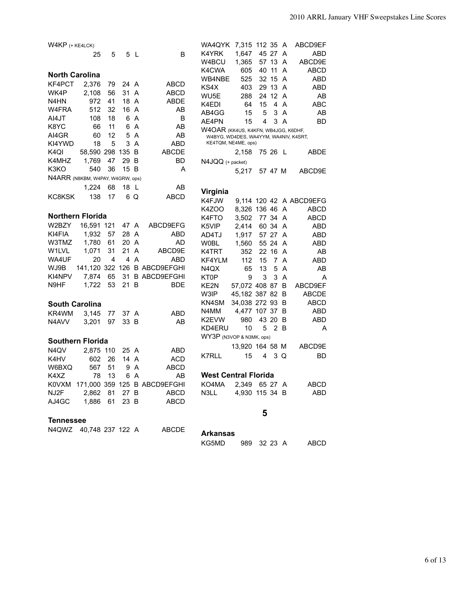| $W4KP$ (+ $KE4LCK$ )                                   | 7,315 112 35 A<br>ABCD9EF<br>WA4QYK                                          |
|--------------------------------------------------------|------------------------------------------------------------------------------|
|                                                        | 45 27<br>K4YRK<br>1,647<br>ABD<br>A                                          |
| 25<br>5<br>5 L<br>B                                    | 1,365<br>57 13<br>W4BCU<br>A<br>ABCD9E                                       |
|                                                        | 40 11<br><b>ABCD</b><br>K4CWA<br>605<br>A                                    |
| <b>North Carolina</b>                                  | 32 15<br>WB4NBE<br>525<br>A<br>ABD                                           |
| 2,376<br>KF4PCT<br>79<br>24 A<br>ABCD                  | KS4X<br>29 13<br><b>ABD</b><br>403<br>A                                      |
| 56<br>31 A<br>WK4P<br>2,108<br><b>ABCD</b>             | WU5E<br>288<br>24 12 A<br>AB                                                 |
| 972<br>18 A<br>N4HN<br>41<br>ABDE                      | <b>ABC</b><br>K4EDI<br>64<br>15<br>4<br>A                                    |
| W4FRA<br>512<br>32<br>16 A<br>AB                       | 15<br>3<br>AB4GG<br>A                                                        |
| AI4JT<br>108<br>18<br>6 A<br>B                         | 5<br>AB<br>AE4PN                                                             |
| K8YC<br>AB<br>66<br>11<br>6<br>A                       | 15<br>4<br>3<br>A<br>BD                                                      |
| 60<br>12<br>AI4GR<br>5<br>A<br>AB                      | W4OAR (KK4US, K4KFN, WB4JGG, K6DHF,<br>W4BYG, WD4DES, WA4YYM, WA4NIV, K4SRT, |
| 18<br>5<br>3<br>$\overline{A}$<br>KI4YWD<br>ABD        | KE4TQM, NE4ME, ops)                                                          |
| 58,590 298 135<br>K4QI<br>- B<br><b>ABCDE</b>          | 2,158<br>75 26 L<br>ABDE                                                     |
| 1,769<br>K4MHZ<br>47<br>29 B<br>BD                     | $N4JQQ$ (+ packet)                                                           |
| 540<br>36<br>K3KO<br>15 B<br>A                         | 5,217<br>57 47 M<br>ABCD9E                                                   |
| N4ARR (N8KBM, W4PAY, W4GRW, ops)                       |                                                                              |
| 1,224<br>68<br>18<br>-L<br>AB                          |                                                                              |
|                                                        | Virginia                                                                     |
| 138<br>17<br>6 Q<br><b>ABCD</b><br>KC8KSK              | K4FJW<br>9,114 120 42 A ABCD9EFG                                             |
|                                                        | <b>K4ZOO</b><br>8,326 136 46 A<br>ABCD                                       |
| Northern Florida                                       | 77 34<br>K4FTO<br>3,502<br>A<br><b>ABCD</b>                                  |
| W2BZY<br>16,591 121<br>47 A<br>ABCD9EFG                | K5VIP<br>2,414<br>60 34 A<br><b>ABD</b>                                      |
| KI4FIA<br>1,932<br>57<br>28 A<br>ABD                   | AD4TJ<br>1,917<br>57 27 A<br>ABD                                             |
| 61<br>W3TMZ<br>1,780<br>20 A<br>AD                     | <b>W0BL</b><br>1,560<br>55 24<br>ABD<br>A                                    |
| 31<br>21<br>W <sub>1</sub> LVL<br>1,071<br>A<br>ABCD9E | K4TRT<br>352<br>22 16<br>A<br>AΒ                                             |
| 20<br>$\overline{A}$<br><b>ABD</b><br>WA4UF<br>4<br>4  | 7<br>KF4YLM<br>112<br>15<br>A<br>ABD                                         |
| 141,120 322 126 B ABCD9EFGHI<br>WJ9B                   | 5<br>N <sub>4</sub> Q <sub>X</sub><br>13<br>A<br>65<br>AB                    |
| KI4NPV<br>7,874<br>65<br>31 B ABCD9EFGHI               | 3<br>3<br>KT0P<br>9<br>A<br>A                                                |
| 53<br>N9HF<br>1,722<br>21 B<br>BDE                     | KE2N<br>57,072 408 87 B<br>ABCD9EF                                           |
|                                                        | W3IP<br>45,182 387 82<br>B<br><b>ABCDE</b>                                   |
| <b>South Carolina</b>                                  | KN4SM<br>34,038 272 93<br>B<br>ABCD                                          |
|                                                        | 4,477 107 37<br><b>ABD</b><br>N4MM<br>B                                      |
| 3,145<br>KR4WM<br>77<br>ABD<br>37 A                    | 980<br>43 20<br>K2EVW<br>B<br>ABD                                            |
| 97<br>33 B<br>N4AVV<br>3,201<br>AB                     | 10<br>5<br>2<br>KD4ERU<br>- B<br>A                                           |
|                                                        | WY3P (N3VOP & N3MK, ops)                                                     |
| <b>Southern Florida</b>                                | 13,920 164 58 M<br>ABCD9E                                                    |
| N4QV<br>2,875 110<br>25 A<br>ABD                       |                                                                              |
| 26<br>14 A<br><b>ACD</b><br>K4HV<br>602                | <b>K7RLL</b><br>15<br>4<br>3<br><b>BD</b><br>Q                               |
| 567<br>51<br>9 A<br>W6BXQ<br>ABCD                      |                                                                              |
| K4XZ<br>78 13<br>6 A<br>AB                             | <b>West Central Florida</b>                                                  |
| 171,000 359 125 B ABCD9EFGHI<br>KOVXM                  | KO4MA<br>2,349 65 27 A<br>ABCD                                               |
| NJ2F<br>2,862 81<br>27 B<br>ABCD                       | N3LL<br>4,930 115 34 B<br>ABD                                                |
| 1,886 61<br>AJ4GC<br>23 B<br>ABCD                      |                                                                              |
|                                                        |                                                                              |
| <b>Tennessee</b>                                       | 5                                                                            |
|                                                        |                                                                              |
| N4QWZ 40,748 237 122 A<br><b>ABCDE</b>                 | <b>Arkansas</b>                                                              |

KG5MD 989 32 23 A ABCD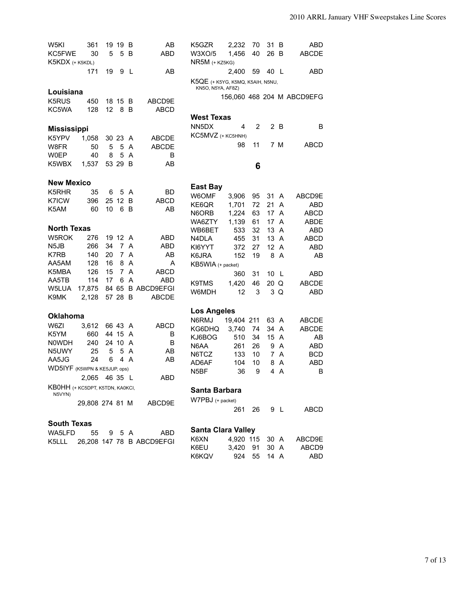| W5KI<br>KC5FWE<br>K5KDX (+ K5KDL) | 361<br>30       | 5  | 19 19<br>5     | B<br>B         | AΒ<br>ABD                 | K5GZR<br>W3XO/5<br>$NR5M$ (+ $KZ5KG$ )                | 2,232<br>1,456 | 70<br>40 | 31<br>26 | B<br>-B             | ABD<br><b>ABCDE</b>        |
|-----------------------------------|-----------------|----|----------------|----------------|---------------------------|-------------------------------------------------------|----------------|----------|----------|---------------------|----------------------------|
|                                   | 171             | 19 |                | 9 L            | AB                        |                                                       | 2,400          | 59       | 40 L     |                     | ABD                        |
|                                   |                 |    |                |                |                           | K5QE (+ K5YG, K5MQ, K5AIH, N5NU,<br>KN5O, N5YA, AF8Z) |                |          |          |                     |                            |
| Louisiana                         |                 |    |                |                |                           |                                                       |                |          |          |                     | 156,060 468 204 M ABCD9EFG |
| K <sub>5</sub> RUS<br>KC5WA       | 450<br>128      | 12 | 18 15 B<br>8   | B              | ABCD9E<br><b>ABCD</b>     |                                                       |                |          |          |                     |                            |
|                                   |                 |    |                |                |                           | <b>West Texas</b>                                     |                |          |          |                     |                            |
| <b>Mississippi</b>                |                 |    |                |                |                           | NN <sub>5</sub> D <sub>X</sub>                        | 4              | 2        |          | 2B                  | B                          |
| K5YPV                             | 1,058           |    | 30 23 A        |                | <b>ABCDE</b>              | KC5MVZ (+ KC5HNH)                                     |                |          |          |                     |                            |
| W8FR                              | 50              | 5  | 5              | A              | <b>ABCDE</b>              |                                                       | 98             | 11       |          | 7 M                 | <b>ABCD</b>                |
| <b>W0EP</b>                       | 40              | 8  | 5              | A              | B                         |                                                       |                |          |          |                     |                            |
| K5WBX                             | 1,537           |    | 53 29          | B              | AB                        |                                                       |                | 6        |          |                     |                            |
|                                   |                 |    |                |                |                           |                                                       |                |          |          |                     |                            |
| <b>New Mexico</b>                 |                 |    |                |                |                           | <b>East Bay</b>                                       |                |          |          |                     |                            |
| K5RHR                             | 35              | 6  | 5              | A              | BD                        | W6OMF                                                 | 3,906          | 95       | 31       | A                   | ABCD9E                     |
| K7ICW                             | 396             |    | 25 12          | B              | <b>ABCD</b>               | KE6QR                                                 | 1,701          | 72       | 21       | $\overline{A}$      | <b>ABD</b>                 |
| K5AM                              | 60              | 10 | 6              | B              | AB                        | N6ORB                                                 | 1,224          | 63       | 17       | A                   | <b>ABCD</b>                |
|                                   |                 |    |                |                |                           | WA6ZTY                                                | 1,139          | 61       | 17       | A                   | <b>ABDE</b>                |
| <b>North Texas</b>                |                 |    |                |                |                           | WB6BET                                                | 533            | 32       | 13       | $\overline{A}$      | <b>ABD</b>                 |
| W5ROK                             | 276             |    | 19 12 A        |                | ABD                       | N4DLA                                                 | 455            | 31       | 13       | A                   | <b>ABCD</b>                |
| N <sub>5</sub> JB                 | 266             | 34 | $\overline{7}$ | A              | ABD                       | KI6YYT                                                | 372            | 27       | 12 A     |                     | <b>ABD</b>                 |
| K7RB                              | 140             | 20 | $\overline{7}$ | A              | AB                        | K6JRA                                                 | 152            | 19       | 8        | A                   | AB                         |
| AA5AM                             | 128             | 16 | 8              | $\overline{A}$ | A                         | KB5WIA (+ packet)                                     |                |          |          |                     |                            |
| K5MBA                             | 126             | 15 |                | 7 A            | ABCD                      |                                                       | 360            | 31       | 10       | -L                  | ABD                        |
| AA5TB                             | 114             | 17 | 6              | $\overline{A}$ | <b>ABD</b>                | K9TMS                                                 | 1,420          | 46       | 20 Q     |                     | <b>ABCDE</b>               |
| W5LUA                             | 17,875          |    |                |                | 84 65 B ABCD9EFGI         | W6MDH                                                 | 12             | 3        | 3        | Q                   | <b>ABD</b>                 |
| K9MK                              | 2,128           |    | 57 28          | B              | ABCDE                     |                                                       |                |          |          |                     |                            |
| <b>Oklahoma</b>                   |                 |    |                |                |                           | <b>Los Angeles</b>                                    |                |          |          |                     |                            |
| W6ZI                              | 3,612           |    | 66 43 A        |                | <b>ABCD</b>               | N6RMJ                                                 | 19,404 211     |          | 63 A     |                     | <b>ABCDE</b>               |
| K5YM                              | 660             |    | 44 15 A        |                | B                         | KG6DHQ                                                | 3,740          | 74       | 34       | A                   | <b>ABCDE</b>               |
| <b>NOWDH</b>                      | 240             |    | 24 10          | A              | B                         | KJ6BOG                                                | 510            | 34       | 15       | A                   | AB                         |
| N5UWY                             | 25              | 5  |                | 5 A            | AB                        | N6AA                                                  | 261            | 26       | 9        | A                   | <b>ABD</b>                 |
| AA5JG                             | 24              | 6  |                | 4 A            | AB                        | N6TCZ                                                 | 133            | 10       | 7        | A                   | BCD                        |
| WD5IYF (K5WPN & KE5JUP, ops)      |                 |    |                |                |                           | AD6AF<br>N <sub>5</sub> BF                            | 104<br>36      | 10<br>9  | 8<br>4   | A<br>$\overline{A}$ | <b>ABD</b><br>В            |
|                                   | 2,065 46 35 L   |    |                |                | ABD                       |                                                       |                |          |          |                     |                            |
| KB0HH (+ KC5DPT, K5TDN, KA0KCI,   |                 |    |                |                |                           | Santa Barbara                                         |                |          |          |                     |                            |
| N5VYN)                            |                 |    |                |                |                           | W7PBJ (+ packet)                                      |                |          |          |                     |                            |
|                                   | 29,808 274 81 M |    |                |                | ABCD9E                    |                                                       | 261            | 26 —     |          | 9 L                 | ABCD                       |
|                                   |                 |    |                |                |                           |                                                       |                |          |          |                     |                            |
| <b>South Texas</b>                |                 |    |                |                |                           | <b>Santa Clara Valley</b>                             |                |          |          |                     |                            |
| WA5LFD                            | 55              | 9  |                | 5 A            | ABD                       | K6XN                                                  | 4.920 115      |          | 30 A     |                     | ABCD9E                     |
| K5LLL                             |                 |    |                |                | 26,208 147 78 B ABCD9EFGI | K6EU                                                  | 3,420          | 91       | 30 A     |                     | ABCD9                      |
|                                   |                 |    |                |                |                           | K6KQV                                                 | 924            | 55       | 14 A     |                     | ABD                        |
|                                   |                 |    |                |                |                           |                                                       |                |          |          |                     |                            |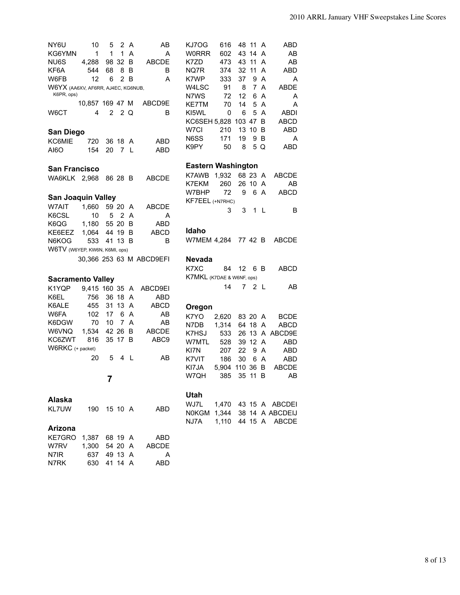| NY6U<br>10<br>$\mathbf{1}$<br>KG6YMN<br>1        | 5<br>2 A<br>$\mathbf 1$ | AВ<br>A<br>A             | ABD<br>KJ7OG<br>616<br>48 11 A<br><b>WORRR</b><br>602<br>43 14 A<br>AB |
|--------------------------------------------------|-------------------------|--------------------------|------------------------------------------------------------------------|
| NU6S<br>4.288                                    | 98 32                   | <b>ABCDE</b><br>-B       | 43 11 A<br>K7ZD<br>473<br>AB                                           |
| KF6A<br>68<br>544                                | 8 B                     | B                        | 32<br>11A<br>ABD<br>NQ7R<br>374<br>K7WP                                |
| W6FB<br>12<br>6                                  | 2B                      | A                        | 333<br>37<br>9 A<br>A<br>7 A<br>W4LSC<br>91 8<br><b>ABDE</b>           |
| W6YX (AA6XV, AF6RR, AJ4EC, KG6NUB,<br>K6PR, ops) |                         |                          | 6 A<br>N7WS<br>72<br>12<br>A                                           |
| 10,857 169 47 M                                  |                         | ABCD9E                   | 14<br>5 A<br>KE7TM<br>70<br>A                                          |
| W6CT<br>4                                        | 2 2 Q                   | B                        | KI5WL<br>0<br>5 A<br><b>ABDI</b><br>6                                  |
|                                                  |                         |                          | KC6SEH 5,828 103 47 B<br>ABCD                                          |
|                                                  |                         |                          | ABD<br>W7CI<br>13 10 B<br>210                                          |
| San Diego                                        |                         |                          | N6SS<br>171<br>19<br>9 B<br>A                                          |
| KC6MIE<br>720                                    | 36 18 A                 | ABD                      | 8<br>5 Q<br>ABD<br>K9PY<br>50                                          |
| 154<br>20<br>AI6O                                | 7 L                     | <b>ABD</b>               |                                                                        |
|                                                  |                         |                          | <b>Eastern Washington</b>                                              |
| <b>San Francisco</b>                             |                         |                          | K7AWB 1,932<br>68 23 A<br>ABCDE                                        |
| WA6KLK 2,968 86 28 B                             |                         | <b>ABCDE</b>             | 26 10 A<br>K7EKM<br>260<br>AB                                          |
|                                                  |                         |                          | 6 A<br>72<br>9<br>ABCD<br>W7BHP                                        |
| <b>San Joaquin Valley</b>                        |                         |                          | KF7EEL (+N7RHC)                                                        |
| W7AIT<br>1,660                                   | 59 20 A                 | <b>ABCDE</b>             | 3<br>3<br>1 <sub>L</sub><br>B                                          |
| K6CSL<br>10                                      | 5 2 A                   | A                        |                                                                        |
| 1,180<br>K6QG                                    | 55 20 B                 | <b>ABD</b>               |                                                                        |
| 1,064<br>KE6EEZ                                  | 44 19 B                 | <b>ABCD</b>              | Idaho                                                                  |
| N6KOG<br>533                                     | 41 13 B                 | B                        | W7MEM 4,284 77 42 B<br>ABCDE                                           |
| W6TV (W6YEP, KW6N, K6MI, ops)                    |                         |                          |                                                                        |
|                                                  |                         | 30,366 253 63 M ABCD9EFI | <b>Nevada</b>                                                          |
|                                                  |                         |                          |                                                                        |
|                                                  |                         |                          | K7XC<br>84<br>12<br>6 B<br>ABCD                                        |
|                                                  |                         |                          | K7MKL (K7DAE & W6NF, ops)                                              |
| <b>Sacramento Valley</b>                         |                         |                          | 14<br>7<br>AB.<br>2 L                                                  |
| K1YQP<br>9,415 160 35 A                          |                         | ABCD9EI                  |                                                                        |
| K6EL<br>756                                      | 36 18 A                 | ABD                      |                                                                        |
| 455<br>K6ALE<br>17                               | 31 13 A<br>6 A          | <b>ABCD</b>              | Oregon                                                                 |
| W6FA<br>102<br>70                                | 7 A                     | AB<br>AB                 | K7YO<br>2,620<br>83 20 A<br><b>BCDE</b>                                |
| K6DGW<br>10                                      |                         |                          | N7DB<br>1,314<br>64 18 A<br><b>ABCD</b>                                |
| W6VNQ<br>1,534<br>816<br>KC6ZWT                  | 42 26 B<br>35 17 B      | <b>ABCDE</b><br>ABC9     | K7HSJ<br>533<br>26 13 A ABCD9E                                         |
| W6RKC (+ packet)                                 |                         |                          | W7MTL<br>528<br>39 12 A<br>ABD                                         |
| 5<br>20                                          | 4 L                     | AB                       | KI7N<br>22<br>ABD<br>207<br>9 A                                        |
|                                                  |                         |                          | K7VIT<br>186<br>30<br>6 A<br>ABD                                       |
|                                                  |                         |                          | KI7JA<br>5,904 110 36 B<br><b>ABCDE</b>                                |
| 7                                                |                         |                          | 385 35 11 B<br>W7QH<br>AB                                              |
|                                                  |                         |                          |                                                                        |
| Alaska                                           |                         |                          | Utah                                                                   |
| KL7UW<br>190                                     | 15 10 A                 | ABD                      | WJ7L<br>1,470 43 15 A ABCDEI                                           |
|                                                  |                         |                          | N0KGM 1,344 38 14 A ABCDEIJ                                            |
|                                                  |                         |                          | NJ7A<br>1,110  44  15  A   ABCDE                                       |
| Arizona                                          |                         |                          |                                                                        |
| KE7GRO<br>1,387 68 19 A<br>W7RV                  |                         | ABD<br><b>ABCDE</b>      |                                                                        |
| 1,300 54 20 A<br>N7IR<br>637 49 13 A             |                         | Α                        |                                                                        |
| N7RK<br>630                                      | 41 14 A                 | ABD                      |                                                                        |
|                                                  |                         |                          |                                                                        |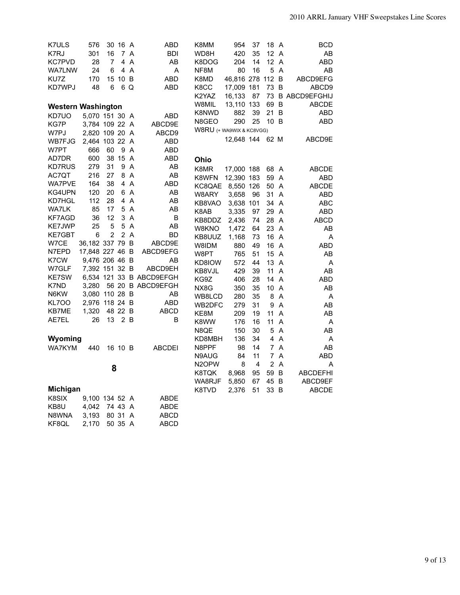| <b>K7ULS</b>              | 576             |                | 30 16 A        |                | ABD                      | K8MM                     | 954              | 37 | 18 A           |                | BCD              |
|---------------------------|-----------------|----------------|----------------|----------------|--------------------------|--------------------------|------------------|----|----------------|----------------|------------------|
| K7RJ                      | 301             | 16             | $\overline{7}$ | A              | <b>BDI</b>               | WD8H                     | 420              | 35 | 12             | A              | AB               |
| <b>KC7PVD</b>             | 28              | $\overline{7}$ | 4              | A              | AB                       | K8DOG                    | 204              | 14 | 12             | A              | ABD              |
| <b>WA7LNW</b>             | 24              | 6              |                | 4 A            | A                        | NF8M                     | 80               | 16 | 5              | A              | AB               |
| KU7Z                      | 170             |                | 15 10 B        |                | ABD                      | K8MD                     | 46,816 278 112 B |    |                |                | ABCD9EFG         |
| KD7WPJ                    | 48              | 6              |                | 6 Q            | ABD                      | K8CC                     | 17,009 181       |    | 73 B           |                | ABCD9            |
|                           |                 |                |                |                |                          | K2YAZ                    | 16,133           | 87 |                |                | 73 B ABCD9EFGHIJ |
|                           |                 |                |                |                |                          | W8MIL                    | 13,110 133       |    | 69 B           |                | <b>ABCDE</b>     |
| <b>Western Washington</b> |                 |                |                |                |                          | K8NWD                    | 882              | 39 | 21             | B              | ABD              |
| KD7UO                     | 5,070 151 30 A  |                |                |                | ABD                      |                          | 290              | 25 | 10 B           |                | <b>ABD</b>       |
| KG7P                      | 3,784 109 22 A  |                |                |                | ABCD9E                   | N8GEO                    |                  |    |                |                |                  |
| W7PJ                      | 2,820 109 20 A  |                |                |                | ABCD9                    | W8RU (+ WA9WIX & KC8VGG) |                  |    |                |                |                  |
| WB7FJG                    | 2,464 103 22    |                |                | A              | ABD                      |                          | 12,648 144       |    | 62 M           |                | ABCD9E           |
| W7PT                      | 666             | 60             |                | 9 A            | ABD                      |                          |                  |    |                |                |                  |
| AD7DR                     | 600             |                | 38 15 A        |                | ABD                      | Ohio                     |                  |    |                |                |                  |
| <b>KD7RUS</b>             | 279             | 31             |                | 9 A            | AB                       | K8MR                     | 17,000 188       |    | 68             | A              | <b>ABCDE</b>     |
| AC7QT                     | 216             | 27             |                | 8 A            | AB                       | K8WFN                    | 12,390 183       |    | 59             | $\overline{A}$ | ABD              |
| WA7PVE                    | 164             | 38             |                | 4 A            | ABD                      | KC8QAE                   | 8,550 126        |    | 50             | A              | <b>ABCDE</b>     |
| KG4UPN                    | 120             | 20             |                | 6 A            | AB                       | W8ARY                    |                  | 96 | 31             | A              | ABD              |
| KD7HGL                    | 112             | 28             |                | 4 A            | AB                       |                          | 3,658            |    | 34             | $\overline{A}$ |                  |
| <b>WA7LK</b>              | 85              | 17             |                | 5 A            | AB                       | KB8VAO                   | 3,638 101        |    |                |                | ABC              |
| <b>KF7AGD</b>             | 36              | 12             |                | 3 A            | В                        | K8AB                     | 3,335            | 97 | 29 A           |                | ABD              |
| <b>KE7JWP</b>             | 25              | 5              |                | 5 A            | AB                       | KB8DDZ                   | 2,436            | 74 | 28             | $\overline{A}$ | <b>ABCD</b>      |
| KE7GBT                    | 6               | $\overline{2}$ |                | 2A             | BD                       | W8KNO                    | 1,472            | 64 | 23             | $\overline{A}$ | AB               |
| W7CE                      | 36,182 337 79 B |                |                |                | ABCD9E                   | KB8UUZ                   | 1,168            | 73 | 16 A           |                | A                |
| N7EPD                     | 17,848 227 46 B |                |                |                | ABCD9EFG                 | W8IDM                    | 880              | 49 | 16             | $\overline{A}$ | ABD              |
| K7CW                      |                 |                |                |                |                          | W8PT                     | 765              | 51 | 15             | $\overline{A}$ | AB               |
|                           | 9,476 206 46 B  |                |                |                | AB                       | KD8IOW                   | 572              | 44 | 13             | $\overline{A}$ | A                |
| W7GLF                     | 7,392 151 32 B  |                |                |                | ABCD9EH                  | KB8VJL                   | 429              | 39 | 11             | A              | AB               |
| <b>KE7SW</b>              |                 |                |                |                | 6,534 121 33 B ABCD9EFGH | KG9Z                     | 406              | 28 | 14             | $\overline{A}$ | ABD              |
| K7ND                      | 3.280           |                |                |                | 56 20 B ABCD9EFGH        | NX8G                     | 350              | 35 | 10             | A              | AB               |
| N6KW                      | 3,080 110 28 B  |                |                |                | AB                       | WB8LCD                   | 280              | 35 | 8              | $\overline{A}$ | Α                |
| KL7OO                     | 2,976 118 24 B  |                |                |                | ABD                      | WB2DFC                   | 279              | 31 | 9              | A              | AB               |
| <b>KB7ME</b>              | 1,320           |                | 48 22 B        |                | <b>ABCD</b>              | KE8M                     | 209              | 19 | 11             | A              | AB               |
| AE7EL                     | 26              | 13             |                | 2 B            | B                        | K8WW                     | 176              | 16 | 11             | A              | Α                |
|                           |                 |                |                |                |                          | N8QE                     | 150              | 30 | 5              | A              | AB               |
| Wyoming                   |                 |                |                |                |                          | KD8MBH                   | 136              | 34 | 4              | A              | A                |
| WA7KYM                    | 440             |                | 16 10 B        |                | <b>ABCDEI</b>            | N8PPF                    | 98               | 14 |                | 7 A            | AB               |
|                           |                 |                |                |                |                          | N9AUG                    | 84               | 11 | $\overline{7}$ | A              | <b>ABD</b>       |
|                           |                 |                |                |                |                          | N <sub>2</sub> OPW       | 8                | 4  | $\overline{2}$ | $\overline{A}$ | A                |
|                           |                 | 8              |                |                |                          | K8TQK                    | 8,968            | 95 | 59             | B              | <b>ABCDEFHI</b>  |
|                           |                 |                |                |                |                          | WA8RJF                   | 5,850            | 67 | 45 B           |                | ABCD9EF          |
| Michigan                  |                 |                |                |                |                          | K8TVD                    | 2,376            | 51 | 33 B           |                | ABCDE            |
| K8SIX                     | 9,100 134 52 A  |                |                |                | ABDE                     |                          |                  |    |                |                |                  |
| KB8U                      | 4,042           |                | 74 43          | $\overline{A}$ | ABDE                     |                          |                  |    |                |                |                  |
|                           |                 |                |                | $\overline{A}$ |                          |                          |                  |    |                |                |                  |
| N8WNA                     | 3,193           |                | 80 31          |                | <b>ABCD</b>              |                          |                  |    |                |                |                  |
| KF8QL                     | 2,170           |                | 50 35 A        |                | ABCD                     |                          |                  |    |                |                |                  |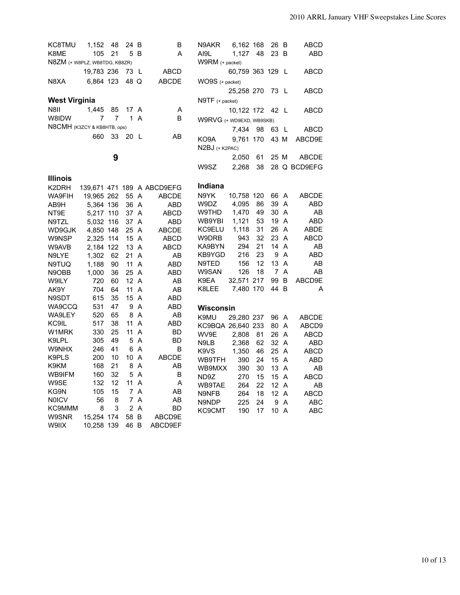| <b>KC8TMU</b>                 | 1,152                   | 48 | 24 B         |     | B                          | N9AKR                         | 6,162 168        |    | 26 B           |                | ABCD         |
|-------------------------------|-------------------------|----|--------------|-----|----------------------------|-------------------------------|------------------|----|----------------|----------------|--------------|
| K8ME                          | 105                     | 21 |              | 5 B | A                          | AI9L                          | 1,127            | 48 | 23 B           |                | ABD          |
| N8ZM (+ W8PLZ, WB8TDG, KB8ZR) |                         |    |              |     |                            | W9RM (+ packet)               |                  |    |                |                |              |
|                               | 19,783 236              |    | 73 L         |     | ABCD                       |                               | 60,759 363 129 L |    |                |                | ABCD         |
| N8XA                          | 6,864 123               |    | 48 Q         |     | <b>ABCDE</b>               | WO9S (+ packet)               |                  |    |                |                |              |
|                               |                         |    |              |     |                            |                               | 25,258 270       |    | 73 L           |                | <b>ABCD</b>  |
| <b>West Virginia</b>          |                         |    |              |     |                            |                               |                  |    |                |                |              |
|                               |                         |    |              |     |                            | $N9TF$ (+ packet)             |                  |    |                |                |              |
| N8II                          | 1,445                   | 85 | 17 A         |     | Α                          |                               | 10,122 172       |    | 42 L           |                | ABCD         |
| W8IDW                         | $\overline{7}$          | 7  | $\mathbf{1}$ | A   | B                          | W9RVG (+ WD9EXD, WB9SKB)      |                  |    |                |                |              |
| N8CMH (K3ZCY & KB8HTB, ops)   |                         |    |              |     |                            |                               | 7,434            | 98 | 63 L           |                | ABCD         |
|                               | 660                     | 33 | 20 L         |     | AB                         | KO9A                          | 9,761 170        |    | 43 M           |                | ABCD9E       |
|                               |                         |    |              |     |                            | N2BJ (+ K2PAC)                |                  |    |                |                |              |
|                               |                         | 9  |              |     |                            |                               | 2,050            | 61 | 25 M           |                | <b>ABCDE</b> |
|                               |                         |    |              |     |                            | W9SZ                          | 2,268            | 38 |                |                | 28 Q BCD9EFG |
| <b>Illinois</b>               |                         |    |              |     |                            |                               |                  |    |                |                |              |
|                               |                         |    |              |     |                            | Indiana                       |                  |    |                |                |              |
| K2DRH                         |                         |    |              |     | 139,671 471 189 A ABCD9EFG | N9YK                          | 10,758 120       |    | 66 A           |                | ABCDE        |
| WA9FIH<br>AB9H                | 19,965 262<br>5,364 136 |    | 55 A<br>36 A |     | <b>ABCDE</b><br>ABD        | W9DZ                          | 4,095            | 86 | 39 A           |                | ABD          |
| NT9E                          | 5,217 110               |    | 37 A         |     | <b>ABCD</b>                | W9THD                         | 1,470            | 49 | 30             | A              | AB           |
|                               | 5,032 116               |    | 37 A         |     | ABD                        | WB9YBI                        | 1,121            | 53 | 19 A           |                | ABD          |
| N9TZL<br>WD9GJK               | 4,850 148               |    | 25 A         |     | <b>ABCDE</b>               | KC9ELU                        | 1,118            | 31 | 26 A           |                | ABDE         |
| W9NSP                         | 2,325 114               |    | 15 A         |     | ABCD                       | W9DRB                         | 943              | 32 | 23 A           |                | <b>ABCD</b>  |
| W9AVB                         | 2,184 122               |    | 13 A         |     | ABCD                       | KA9BYN                        | 294              | 21 | 14             | $\overline{A}$ | AB           |
| N9LYE                         | 1,302                   | 62 | 21 A         |     | AB                         | KB9YGD                        | 216              | 23 | 9              | $\overline{A}$ | <b>ABD</b>   |
| N9TUQ                         | 1,188                   | 90 | 11 A         |     | ABD                        | N9TED                         | 156              | 12 | 13 A           |                | AB           |
| N9OBB                         | 1,000                   | 36 | 25 A         |     | ABD                        | W9SAN                         | 126              | 18 | $\overline{7}$ | A              | AB           |
| W9ILY                         | 720                     | 60 | 12A          |     | AB                         | K9EA                          | 32,571 217       |    | 99             | B              | ABCD9E       |
| AK9Y                          | 704                     | 64 | 11 A         |     | AB                         | K8LEE                         | 7,480 170        |    | 44 B           |                | A            |
| N9SDT                         | 615                     | 35 | 15 A         |     | ABD                        |                               |                  |    |                |                |              |
| WA9CCQ                        | 531                     | 47 |              | 9 A | ABD                        | Wisconsin                     |                  |    |                |                |              |
| WA9LEY                        | 520                     | 65 |              | 8 A | AB                         | K9MU                          | 29,280 237       |    | 96 A           |                | ABCDE        |
| KC9IL                         | 517                     | 38 | 11 A         |     | ABD                        | KC9BQA 26,640 233             |                  |    | 80 A           |                | ABCD9        |
| W1MRK                         | 330                     | 25 | 11 A         |     | BD                         | WV9E                          | 2,808            | 81 | 26 A           |                | ABCD         |
| K9LPL                         | 305                     | 49 |              | 5 A | BD                         | N9LB                          | 2,368            | 62 | 32 A           |                | <b>ABD</b>   |
| W9NHX                         | 246                     | 41 |              | 6 A | B                          | K <sub>9</sub> V <sub>S</sub> | 1,350            | 46 | 25 A           |                | ABCD         |
| K9PLS                         | 200                     | 10 | 10 A         |     | <b>ABCDE</b>               | WB9TFH                        | 390              | 24 | 15 A           |                | <b>ABD</b>   |
| K9KM                          | 168                     | 21 |              | 8 A | AB                         | WB9MXX                        | 390              | 30 | 13 A           |                | AB           |
| WB9IFM                        | 160                     | 32 |              | 5 A | B                          | ND9Z                          | 270              | 15 | 15 A           |                | <b>ABCD</b>  |
| W9SE                          | 132                     | 12 | 11A          |     | Α                          | WB9TAE                        | 264              | 22 | 12A            |                | AB           |
| KG9N                          | 105                     | 15 |              | 7 A | AB                         | N9NFB                         | 264              | 18 | $12 \text{ A}$ |                | ABCD         |
| <b>NOICV</b>                  | 56                      | 8  |              | 7 A | AB                         | N9NDP                         | 225              | 24 | 9              | A              | <b>ABC</b>   |
| KC9MMM                        | 8                       | 3  |              | 2A  | BD                         | <b>KC9CMT</b>                 | 190              | 17 | 10 A           |                | ABC          |
| W9SNR                         | 15,254 174              |    | 58 B         |     | ABCD9E                     |                               |                  |    |                |                |              |
| W9IIX                         | 10,258 139              |    | 46 B         |     | ABCD9EF                    |                               |                  |    |                |                |              |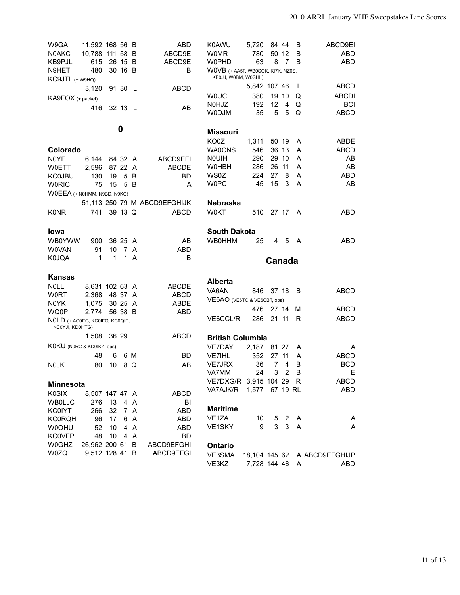| W9GA                                              | 11,592 168 56 B |    |         |     | ABD                          | K0AWU                             | 5,720          |                | 84 44          | B              | ABCD9EI                      |
|---------------------------------------------------|-----------------|----|---------|-----|------------------------------|-----------------------------------|----------------|----------------|----------------|----------------|------------------------------|
| N0AKC                                             | 10,788 111 58 B |    |         |     | ABCD9E                       | WOMR                              | 780            |                | 50 12          | B              | <b>ABD</b>                   |
| KB9PJL                                            | 615             |    | 26 15 B |     | ABCD9E                       | <b>WOPHD</b>                      | 63             | 8              | $\overline{7}$ | B              | ABD                          |
| N9HET                                             | 480             |    | 30 16 B |     | B                            | WOVB (+ AA5F, WB0SOK, KI7K, NZ0S, |                |                |                |                |                              |
| KC9JTL (+ W9HQ)                                   |                 |    |         |     |                              | KE0JJ, W0BM, W0SHL)               |                |                |                |                |                              |
|                                                   | 3,120           |    | 91 30 L |     | <b>ABCD</b>                  |                                   | 5,842 107 46   |                |                | L              | ABCD                         |
| $KAGFOX$ (+ packet)                               |                 |    |         |     |                              | <b>WOUC</b>                       | 380            |                | 19 10          | Q              | <b>ABCDI</b>                 |
|                                                   |                 |    |         |     |                              | <b>NOHJZ</b>                      | 192            | 12             | 4              | Q              | <b>BCI</b>                   |
|                                                   | 416             |    | 32 13 L |     | AB                           | <b>WODJM</b>                      | 35             | 5              | 5              | Q              | <b>ABCD</b>                  |
|                                                   |                 |    |         |     |                              |                                   |                |                |                |                |                              |
|                                                   |                 |    | 0       |     |                              | <b>Missouri</b>                   |                |                |                |                |                              |
|                                                   |                 |    |         |     |                              | KO0Z                              | 1,311          |                | 50 19          | A              | ABDE                         |
| Colorado                                          |                 |    |         |     |                              | <b>WA0CNS</b>                     | 546            |                | 36 13          | A              | <b>ABCD</b>                  |
| N0YE                                              | 6,144           |    | 84 32 A |     | ABCD9EFI                     | <b>NOUIH</b>                      | 290            | 29             | 10             | A              | AB                           |
| <b>W0ETT</b>                                      | 2,596           |    | 87 22   | A   | <b>ABCDE</b>                 | W0HBH                             | 286            | 26             | -11            | A              | AB                           |
| <b>KC0JBU</b>                                     | 130             | 19 | 5       | B   | <b>BD</b>                    | WS0Z                              | 224            | 27             | 8              | A              | <b>ABD</b>                   |
| <b>WORIC</b>                                      | 75              | 15 | 5       | B   | A                            | <b>WOPC</b>                       | 45             | 15             | 3              | A              | AB                           |
| WOEEA (+ NOHMM, N9BD, N9KC)                       |                 |    |         |     |                              |                                   |                |                |                |                |                              |
|                                                   |                 |    |         |     | 51,113 250 79 M ABCD9EFGHIJK | <b>Nebraska</b>                   |                |                |                |                |                              |
| <b>K0NR</b>                                       | 741             |    | 39 13 Q |     | <b>ABCD</b>                  | <b>W0KT</b>                       | 510            |                | 27 17          | A              | ABD.                         |
|                                                   |                 |    |         |     |                              |                                   |                |                |                |                |                              |
| Iowa                                              |                 |    |         |     |                              | <b>South Dakota</b>               |                |                |                |                |                              |
| <b>WB0YWW</b>                                     | 900             |    | 36 25 A |     | AB                           | <b>WB0HHM</b>                     | 25             | 4              | -5             | A              | ABD                          |
| W0VAN                                             | 91              | 10 | -7      | A   | ABD                          |                                   |                |                |                |                |                              |
|                                                   |                 |    |         | A   |                              |                                   |                |                |                |                |                              |
| <b>K0JQA</b>                                      | 1               | 1  | 1       |     | В                            |                                   |                |                |                |                |                              |
|                                                   |                 |    |         |     |                              |                                   |                | Canada         |                |                |                              |
| Kansas                                            |                 |    |         |     |                              |                                   |                |                |                |                |                              |
| <b>NOLL</b>                                       | 8,631 102 63 A  |    |         |     | <b>ABCDE</b>                 | <b>Alberta</b>                    |                |                |                |                |                              |
| <b>W0RT</b>                                       | 2,368           |    | 48 37   | A   | ABCD                         | VA6AN                             | 846            |                | 37 18          | B              | ABCD                         |
| N0YK                                              |                 |    | 30 25   | A   | <b>ABDE</b>                  | VE6AO (VE6TC & VE6CBT, ops)       |                |                |                |                |                              |
|                                                   | 1,075<br>2,774  |    | 56 38 B |     | <b>ABD</b>                   |                                   | 476            |                | 27 14          | М              | ABCD                         |
| WQ0P                                              |                 |    |         |     |                              | VE6CCL/R                          | 286            | 21 11          |                | R              | <b>ABCD</b>                  |
| NOLD (+ ACOEG, KCOIFQ, KCOQIE,<br>KC0YJI, KD0HTG) |                 |    |         |     |                              |                                   |                |                |                |                |                              |
|                                                   | 1,508           |    | 36 29 L |     | ABCD                         |                                   |                |                |                |                |                              |
|                                                   |                 |    |         |     |                              | <b>British Columbia</b>           |                |                |                |                |                              |
| KOKU (NORC & KDOIKZ, ops)                         |                 |    |         |     |                              | VE7DAY                            | 2,187          |                | 81 27          | A              | A                            |
|                                                   | 48              | 6  |         | 6 M | BD                           | VE7IHL                            | 352            | 27             | 11             | A              | <b>ABCD</b>                  |
| N0JK                                              | 80              | 10 |         | 8 Q | AB                           | <b>VE7JRX</b>                     | 36             | $\overline{7}$ | 4              | B              | <b>BCD</b>                   |
|                                                   |                 |    |         |     |                              | VA7MM                             | 24             | 3              | $2^{\circ}$    | <sub>B</sub>   | E                            |
| <b>Minnesota</b>                                  |                 |    |         |     |                              | VE7DXG/R 3,915 104 29 R           |                |                |                |                | ABCD                         |
| <b>K0SIX</b>                                      | 8,507 147 47 A  |    |         |     | <b>ABCD</b>                  | VA7AJK/R                          | 1,577 67 19 RL |                |                |                | ABD                          |
| <b>WBOLJC</b>                                     | 276             | 13 |         | 4 A | BI                           |                                   |                |                |                |                |                              |
| <b>KC0IYT</b>                                     | 266             | 32 | 7 A     |     | ABD                          | <b>Maritime</b>                   |                |                |                |                |                              |
| <b>KC0RQH</b>                                     | 96              | 17 |         | 6 A | ABD                          | VE1ZA                             | 10             |                | $5\quad2$      | A              | Α                            |
| W0OHU                                             | 52              | 10 |         | 4 A | ABD                          | VE1SKY                            | 9              | 3              | $\mathbf{3}$   | $\overline{A}$ | A                            |
| <b>KC0VFP</b>                                     | 48              | 10 | 4 A     |     | <b>BD</b>                    |                                   |                |                |                |                |                              |
| <b>W0GHZ</b>                                      | 26,962 200 61 B |    |         |     | ABCD9EFGHI                   |                                   |                |                |                |                |                              |
| W0ZQ                                              | 9,512 128 41 B  |    |         |     | ABCD9EFGI                    | Ontario<br>VE3SMA                 |                |                |                |                | 18,104 145 62 A ABCD9EFGHIJP |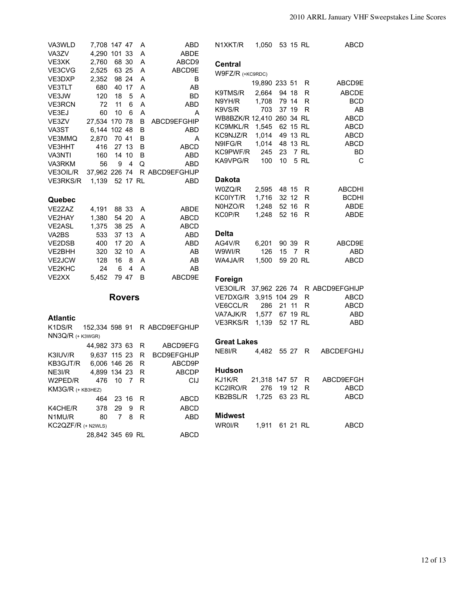| VA3WLD             | 7,708 147 47     |               |                | A        | ABD                          | N1XKT/R                   | 1,050 53 15 RL  |                 |       |          | ABCD                                  |
|--------------------|------------------|---------------|----------------|----------|------------------------------|---------------------------|-----------------|-----------------|-------|----------|---------------------------------------|
| VA3ZV              | 4,290 101 33     |               |                | Α        | ABDE                         |                           |                 |                 |       |          |                                       |
| VE3XK              | 2,760            |               | 68 30          | A        | ABCD9                        | <b>Central</b>            |                 |                 |       |          |                                       |
| VE3CVG             | 2,525            |               | 63 25          | A        | ABCD9E                       | W9FZ/R (+KC9RDC)          |                 |                 |       |          |                                       |
| VE3DXP             | 2,352            |               | 98 24          | A        | B                            |                           | 19,890 233 51   |                 |       | R        | ABCD9E                                |
| VE3TLT             | 680              |               | 40 17          | A        | AB                           |                           |                 |                 |       |          |                                       |
| VE3JW              | 120              | 18            | 5              | A        | <b>BD</b>                    | K9TMS/R                   | 2,664           | 94 18           |       | R        | <b>ABCDE</b>                          |
| <b>VE3RCN</b>      | 72               | 11            | $6\phantom{1}$ | A        | ABD                          | N9YH/R                    | 1,708           | 79 14           |       | R        | <b>BCD</b>                            |
| VE3EJ              | 60               | 10            | 6              | A        | A                            | K9VS/R                    | 703             |                 | 37 19 | R        | AB                                    |
| VE3ZV              | 27,534 170 78    |               |                | В        | ABCD9EFGHIP                  | WB8BZK/R 12,410 260 34 RL |                 |                 |       |          | <b>ABCD</b>                           |
| VA3ST              | 6,144 102 48     |               |                | B        | <b>ABD</b>                   | KC9MKL/R 1,545 62 15 RL   |                 |                 |       |          | ABCD                                  |
| VE3MMQ             | 2,870            |               | 70 41          | B        | A                            | KC9NJZ/R                  | 1,014 49 13 RL  |                 |       |          | ABCD                                  |
| VE3HHT             | 416              |               | 27 13          | B        | <b>ABCD</b>                  | N9IFG/R                   | 1,014 48 13 RL  |                 |       |          | <b>ABCD</b>                           |
| VA3NTI             | 160              |               | 14 10          | B        | ABD                          | KC9PWF/R                  | 245             | 23              |       | 7 RL     | BD                                    |
| VA3RKM             | 56               | 9             | $\overline{4}$ | Q        | ABD                          | KA9VPG/R                  | 100             | 10 <sup>°</sup> |       | 5 RL     | C                                     |
| VE3OIL/R           |                  |               |                |          | 37,962 226 74 R ABCD9EFGHIJP |                           |                 |                 |       |          |                                       |
| <b>VE3RKS/R</b>    | 1,139            |               |                | 52 17 RL | ABD                          | <b>Dakota</b>             |                 |                 |       |          |                                       |
|                    |                  |               |                |          |                              | W0ZQ/R                    | 2,595 48 15     |                 |       | R        | <b>ABCDHI</b>                         |
| Quebec             |                  |               |                |          |                              | KC0IYT/R                  | 1,716           | 32 12           |       | R.       | <b>BCDHI</b>                          |
| VE2ZAZ             | 4,191            |               | 88 33          | Α        | ABDE                         | N0HZO/R                   | 1,248           | 52 16           |       | R.       | ABDE                                  |
| VE2HAY             | 1,380            |               | 54 20          | A        | ABCD                         | KC0P/R                    | 1,248           |                 | 52 16 | R.       | ABDE                                  |
| VE2ASL             | 1,375            |               | 38 25          | A        | ABCD                         |                           |                 |                 |       |          |                                       |
| VA2BS              | 533              |               | 37 13          | A        | ABD                          | <b>Delta</b>              |                 |                 |       |          |                                       |
| VE2DSB             | 400              |               | 17 20          | A        | ABD                          | AG4V/R                    | 6,201           | 90 39           |       | R        | ABCD9E                                |
| VE2BHH             | 320              |               | 32 10          | A        | AB                           | W9WI/R                    | 126             |                 |       | 15 7 R   | <b>ABD</b>                            |
| VE2JCW             | 128              | 16            | - 8            | A        | AB                           | WA4JA/R                   | 1,500           |                 |       | 59 20 RL | <b>ABCD</b>                           |
| VE2KHC             | 24               | 6             | 4              | A        | AB                           |                           |                 |                 |       |          |                                       |
| VE2XX              | 5,452            |               | 79 47          | B        | ABCD9E                       |                           |                 |                 |       |          |                                       |
|                    |                  |               |                |          |                              | Foreign                   |                 |                 |       |          |                                       |
|                    |                  |               |                |          |                              |                           |                 |                 |       |          | VE3OIL/R 37,962 226 74 R ABCD9EFGHIJP |
|                    |                  | <b>Rovers</b> |                |          |                              | VE7DXG/R 3,915 104 29     |                 |                 |       | R        | ABCD                                  |
|                    |                  |               |                |          |                              | VE6CCL/R                  | 286             | 21 11           |       | R.       | ABCD                                  |
| <b>Atlantic</b>    |                  |               |                |          |                              | VA7AJK/R                  | 1,577           |                 |       | 67 19 RL | ABD                                   |
| K1DS/R             | 152,334 598 91   |               |                |          | R ABCD9EFGHIJP               | VE3RKS/R 1,139            |                 |                 |       | 52 17 RL | ABD                                   |
| $NN3Q/R$ (+ K3WGR) |                  |               |                |          |                              |                           |                 |                 |       |          |                                       |
|                    |                  |               |                |          |                              | <b>Great Lakes</b>        |                 |                 |       |          |                                       |
|                    | 44,982 373 63    |               |                | R        | ABCD9EFG                     | NE8I/R                    | 4,482           |                 | 55 27 | R        | ABCDEFGHIJ                            |
| K3IUV/R            | 9,637 115 23     |               |                | R        | <b>BCD9EFGHIJP</b>           |                           |                 |                 |       |          |                                       |
| KB3GJT/R           | 6,006 146 26     |               |                | R        | ABCD9P                       |                           |                 |                 |       |          |                                       |
| NE3I/R             | 4,899 134 23     |               |                | R        | <b>ABCDP</b>                 | <b>Hudson</b>             |                 |                 |       |          |                                       |
| W2PED/R            | 476              | 10 7 R        |                |          | <b>CIJ</b>                   | KJ1K/R                    | 21,318 147 57 R |                 |       |          | ABCD9EFGH                             |
| KM3G/R (+ KB3HEZ)  |                  |               |                |          |                              | KC2IRO/R                  | 276             | 19 12           |       | -R       | <b>ABCD</b>                           |
|                    | 464              |               | 23 16          | R        | ABCD                         | KB2BSL/R                  | 1,725 63 23 RL  |                 |       |          | ABCD                                  |
| K4CHE/R            | 378              | 29            | 9              | R        | <b>ABCD</b>                  |                           |                 |                 |       |          |                                       |
| N1MU/R             | 80               | $7^{\circ}$   | 8              | R        | <b>ABD</b>                   | <b>Midwest</b>            |                 |                 |       |          |                                       |
| KC2QZF/R (+ N2WLS) |                  |               |                |          |                              | WR0I/R                    | 1,911 61 21 RL  |                 |       |          | ABCD                                  |
|                    | 28,842 345 69 RL |               |                |          | <b>ABCD</b>                  |                           |                 |                 |       |          |                                       |